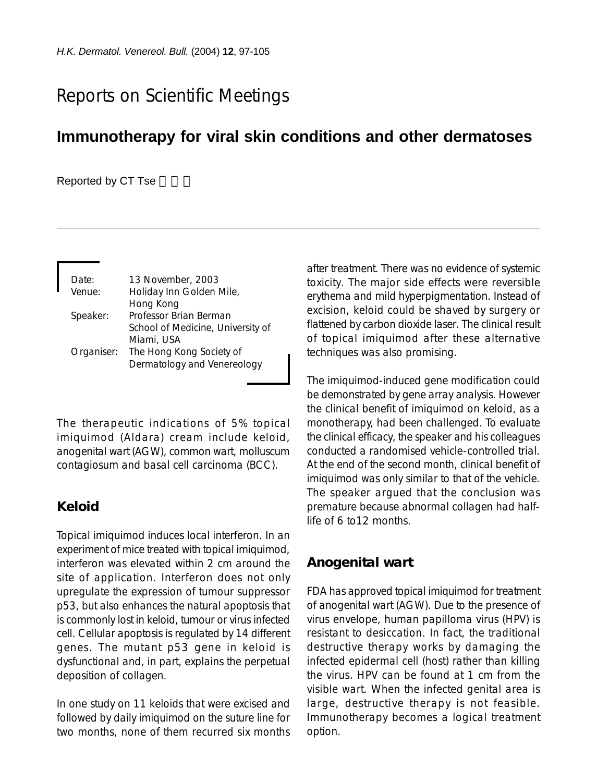# Reports on Scientific Meetings

## **Immunotherapy for viral skin conditions and other dermatoses**

#### Reported by CT Tse

| Date:      | 13 November, 2003                 |
|------------|-----------------------------------|
| Venue:     | Holiday Inn Golden Mile,          |
|            | Hong Kong                         |
| Speaker:   | Professor Brian Berman            |
|            | School of Medicine, University of |
|            | Miami, USA                        |
| Organiser: | The Hong Kong Society of          |
|            | Dermatology and Venereology       |

The therapeutic indications of 5% topical imiquimod (Aldara) cream include keloid, anogenital wart (AGW), common wart, molluscum contagiosum and basal cell carcinoma (BCC).

## **Keloid**

Topical imiquimod induces local interferon. In an experiment of mice treated with topical imiquimod, interferon was elevated within 2 cm around the site of application. Interferon does not only upregulate the expression of tumour suppressor p53, but also enhances the natural apoptosis that is commonly lost in keloid, tumour or virus infected cell. Cellular apoptosis is regulated by 14 different genes. The mutant p53 gene in keloid is dysfunctional and, in part, explains the perpetual deposition of collagen.

In one study on 11 keloids that were excised and followed by daily imiquimod on the suture line for two months, none of them recurred six months after treatment. There was no evidence of systemic toxicity. The major side effects were reversible erythema and mild hyperpigmentation. Instead of excision, keloid could be shaved by surgery or flattened by carbon dioxide laser. The clinical result of topical imiquimod after these alternative techniques was also promising.

The imiquimod-induced gene modification could be demonstrated by gene array analysis. However the clinical benefit of imiquimod on keloid, as a monotherapy, had been challenged. To evaluate the clinical efficacy, the speaker and his colleagues conducted a randomised vehicle-controlled trial. At the end of the second month, clinical benefit of imiquimod was only similar to that of the vehicle. The speaker argued that the conclusion was premature because abnormal collagen had halflife of 6 to12 months.

## **Anogenital wart**

FDA has approved topical imiquimod for treatment of anogenital wart (AGW). Due to the presence of virus envelope, human papilloma virus (HPV) is resistant to desiccation. In fact, the traditional destructive therapy works by damaging the infected epidermal cell (host) rather than killing the virus. HPV can be found at 1 cm from the visible wart. When the infected genital area is large, destructive therapy is not feasible. Immunotherapy becomes a logical treatment option.